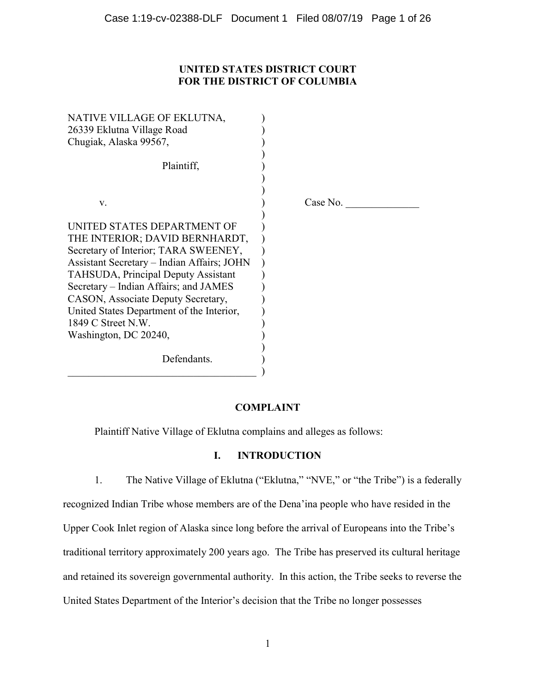# **UNITED STATES DISTRICT COURT FOR THE DISTRICT OF COLUMBIA**

| NATIVE VILLAGE OF EKLUTNA,<br>26339 Eklutna Village Road<br>Chugiak, Alaska 99567,                                                                                                                                                                                                                                                                                                    |          |
|---------------------------------------------------------------------------------------------------------------------------------------------------------------------------------------------------------------------------------------------------------------------------------------------------------------------------------------------------------------------------------------|----------|
| Plaintiff,                                                                                                                                                                                                                                                                                                                                                                            |          |
| V.                                                                                                                                                                                                                                                                                                                                                                                    | Case No. |
| UNITED STATES DEPARTMENT OF<br>THE INTERIOR; DAVID BERNHARDT,<br>Secretary of Interior; TARA SWEENEY,<br><b>Assistant Secretary – Indian Affairs; JOHN</b><br><b>TAHSUDA, Principal Deputy Assistant</b><br>Secretary – Indian Affairs; and JAMES<br>CASON, Associate Deputy Secretary,<br>United States Department of the Interior,<br>$1849$ C Street N.W.<br>Washington, DC 20240, |          |
| Defendants.                                                                                                                                                                                                                                                                                                                                                                           |          |

## **COMPLAINT**

Plaintiff Native Village of Eklutna complains and alleges as follows:

## **I. INTRODUCTION**

1. The Native Village of Eklutna ("Eklutna," "NVE," or "the Tribe") is a federally recognized Indian Tribe whose members are of the Dena'ina people who have resided in the Upper Cook Inlet region of Alaska since long before the arrival of Europeans into the Tribe's traditional territory approximately 200 years ago. The Tribe has preserved its cultural heritage and retained its sovereign governmental authority. In this action, the Tribe seeks to reverse the United States Department of the Interior's decision that the Tribe no longer possesses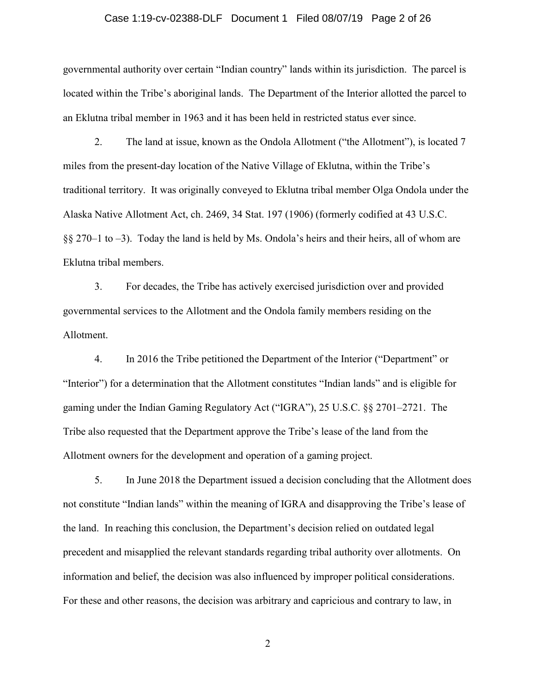### Case 1:19-cv-02388-DLF Document 1 Filed 08/07/19 Page 2 of 26

governmental authority over certain "Indian country" lands within its jurisdiction. The parcel is located within the Tribe's aboriginal lands. The Department of the Interior allotted the parcel to an Eklutna tribal member in 1963 and it has been held in restricted status ever since.

2. The land at issue, known as the Ondola Allotment ("the Allotment"), is located 7 miles from the present-day location of the Native Village of Eklutna, within the Tribe's traditional territory. It was originally conveyed to Eklutna tribal member Olga Ondola under the Alaska Native Allotment Act, ch. 2469, 34 Stat. 197 (1906) (formerly codified at 43 U.S.C. §§ 270–1 to −3). Today the land is held by Ms. Ondola's heirs and their heirs, all of whom are Eklutna tribal members.

3. For decades, the Tribe has actively exercised jurisdiction over and provided governmental services to the Allotment and the Ondola family members residing on the Allotment.

4. In 2016 the Tribe petitioned the Department of the Interior ("Department" or "Interior") for a determination that the Allotment constitutes "Indian lands" and is eligible for gaming under the Indian Gaming Regulatory Act ("IGRA"), 25 U.S.C. §§ 2701–2721. The Tribe also requested that the Department approve the Tribe's lease of the land from the Allotment owners for the development and operation of a gaming project.

5. In June 2018 the Department issued a decision concluding that the Allotment does not constitute "Indian lands" within the meaning of IGRA and disapproving the Tribe's lease of the land. In reaching this conclusion, the Department's decision relied on outdated legal precedent and misapplied the relevant standards regarding tribal authority over allotments. On information and belief, the decision was also influenced by improper political considerations. For these and other reasons, the decision was arbitrary and capricious and contrary to law, in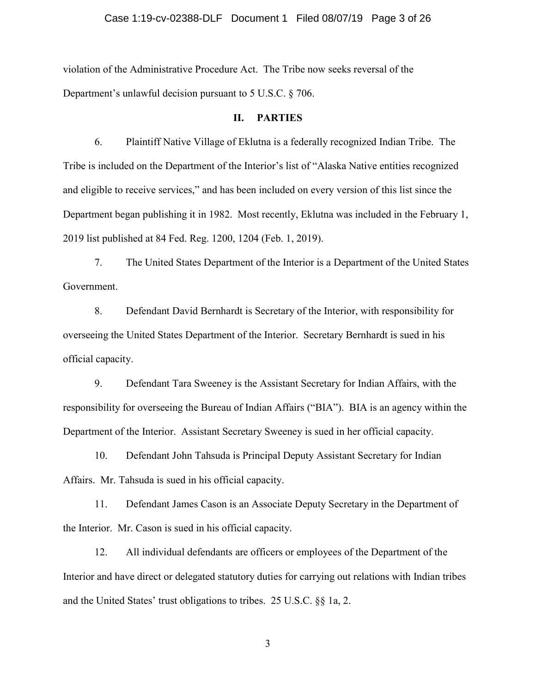### Case 1:19-cv-02388-DLF Document 1 Filed 08/07/19 Page 3 of 26

violation of the Administrative Procedure Act. The Tribe now seeks reversal of the Department's unlawful decision pursuant to 5 U.S.C. § 706.

#### **II. PARTIES**

6. Plaintiff Native Village of Eklutna is a federally recognized Indian Tribe. The Tribe is included on the Department of the Interior's list of "Alaska Native entities recognized and eligible to receive services," and has been included on every version of this list since the Department began publishing it in 1982. Most recently, Eklutna was included in the February 1, 2019 list published at 84 Fed. Reg. 1200, 1204 (Feb. 1, 2019).

7. The United States Department of the Interior is a Department of the United States Government.

8. Defendant David Bernhardt is Secretary of the Interior, with responsibility for overseeing the United States Department of the Interior. Secretary Bernhardt is sued in his official capacity.

9. Defendant Tara Sweeney is the Assistant Secretary for Indian Affairs, with the responsibility for overseeing the Bureau of Indian Affairs ("BIA"). BIA is an agency within the Department of the Interior. Assistant Secretary Sweeney is sued in her official capacity.

10. Defendant John Tahsuda is Principal Deputy Assistant Secretary for Indian Affairs. Mr. Tahsuda is sued in his official capacity.

11. Defendant James Cason is an Associate Deputy Secretary in the Department of the Interior. Mr. Cason is sued in his official capacity.

12. All individual defendants are officers or employees of the Department of the Interior and have direct or delegated statutory duties for carrying out relations with Indian tribes and the United States' trust obligations to tribes. 25 U.S.C. §§ 1a, 2.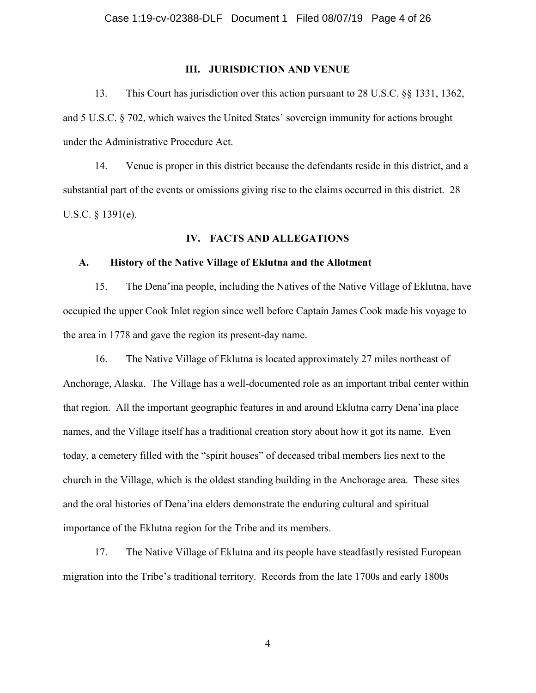### **III. JURISDICTION AND VENUE**

13. This Court has jurisdiction over this action pursuant to 28 U.S.C. §§ 1331, 1362, and 5 U.S.C. § 702, which waives the United States' sovereign immunity for actions brought under the Administrative Procedure Act.

14. Venue is proper in this district because the defendants reside in this district, and a substantial part of the events or omissions giving rise to the claims occurred in this district. 28 U.S.C. § 1391(e).

#### **IV. FACTS AND ALLEGATIONS**

### **A. History of the Native Village of Eklutna and the Allotment**

15. The Dena'ina people, including the Natives of the Native Village of Eklutna, have occupied the upper Cook Inlet region since well before Captain James Cook made his voyage to the area in 1778 and gave the region its present-day name.

16. The Native Village of Eklutna is located approximately 27 miles northeast of Anchorage, Alaska. The Village has a well-documented role as an important tribal center within that region. All the important geographic features in and around Eklutna carry Dena'ina place names, and the Village itself has a traditional creation story about how it got its name. Even today, a cemetery filled with the "spirit houses" of deceased tribal members lies next to the church in the Village, which is the oldest standing building in the Anchorage area. These sites and the oral histories of Dena'ina elders demonstrate the enduring cultural and spiritual importance of the Eklutna region for the Tribe and its members.

17. The Native Village of Eklutna and its people have steadfastly resisted European migration into the Tribe's traditional territory. Records from the late 1700s and early 1800s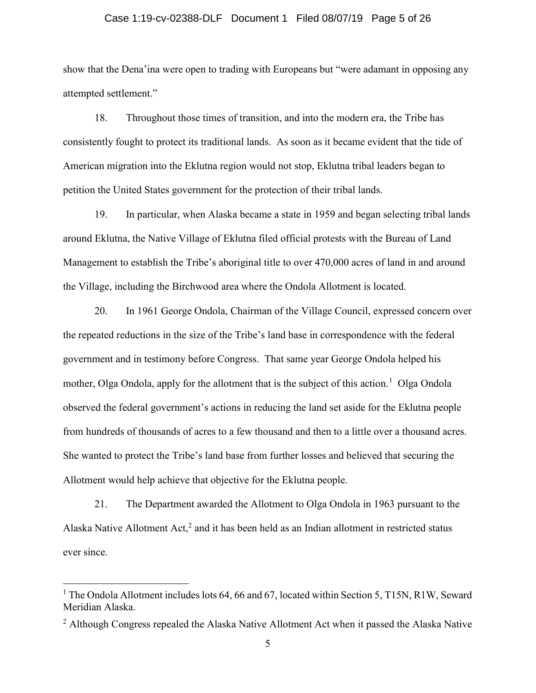# Case 1:19-cv-02388-DLF Document 1 Filed 08/07/19 Page 5 of 26

show that the Dena'ina were open to trading with Europeans but "were adamant in opposing any attempted settlement."

18. Throughout those times of transition, and into the modern era, the Tribe has consistently fought to protect its traditional lands. As soon as it became evident that the tide of American migration into the Eklutna region would not stop, Eklutna tribal leaders began to petition the United States government for the protection of their tribal lands.

19. In particular, when Alaska became a state in 1959 and began selecting tribal lands around Eklutna, the Native Village of Eklutna filed official protests with the Bureau of Land Management to establish the Tribe's aboriginal title to over 470,000 acres of land in and around the Village, including the Birchwood area where the Ondola Allotment is located.

20. In 1961 George Ondola, Chairman of the Village Council, expressed concern over the repeated reductions in the size of the Tribe's land base in correspondence with the federal government and in testimony before Congress. That same year George Ondola helped his mother, Olga Ondola, apply for the allotment that is the subject of this action.<sup>1</sup> Olga Ondola observed the federal government's actions in reducing the land set aside for the Eklutna people from hundreds of thousands of acres to a few thousand and then to a little over a thousand acres. She wanted to protect the Tribe's land base from further losses and believed that securing the Allotment would help achieve that objective for the Eklutna people.

21. The Department awarded the Allotment to Olga Ondola in 1963 pursuant to the Alaska Native Allotment Act, $2$  and it has been held as an Indian allotment in restricted status ever since.

 $\overline{\phantom{a}}$ 

<sup>&</sup>lt;sup>1</sup> The Ondola Allotment includes lots 64, 66 and 67, located within Section 5, T15N, R1W, Seward Meridian Alaska.

 $2$  Although Congress repealed the Alaska Native Allotment Act when it passed the Alaska Native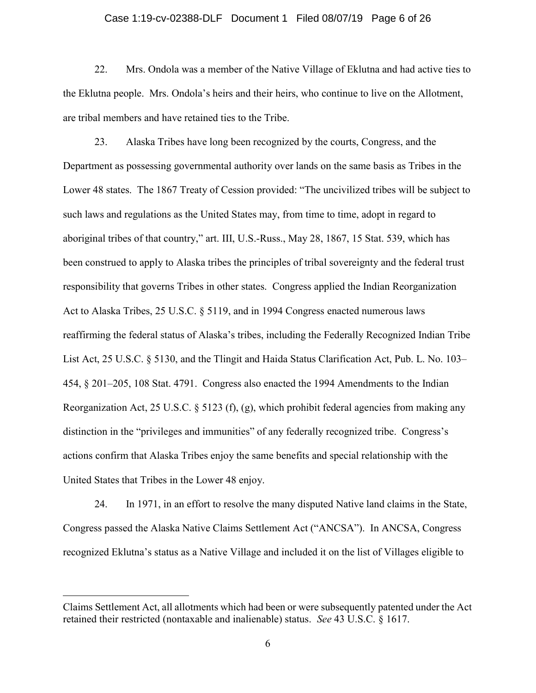# Case 1:19-cv-02388-DLF Document 1 Filed 08/07/19 Page 6 of 26

22. Mrs. Ondola was a member of the Native Village of Eklutna and had active ties to the Eklutna people. Mrs. Ondola's heirs and their heirs, who continue to live on the Allotment, are tribal members and have retained ties to the Tribe.

23. Alaska Tribes have long been recognized by the courts, Congress, and the Department as possessing governmental authority over lands on the same basis as Tribes in the Lower 48 states. The 1867 Treaty of Cession provided: "The uncivilized tribes will be subject to such laws and regulations as the United States may, from time to time, adopt in regard to aboriginal tribes of that country," art. III, U.S.-Russ., May 28, 1867, 15 Stat. 539, which has been construed to apply to Alaska tribes the principles of tribal sovereignty and the federal trust responsibility that governs Tribes in other states. Congress applied the Indian Reorganization Act to Alaska Tribes, 25 U.S.C. § 5119, and in 1994 Congress enacted numerous laws reaffirming the federal status of Alaska's tribes, including the Federally Recognized Indian Tribe List Act, 25 U.S.C. § 5130, and the Tlingit and Haida Status Clarification Act, Pub. L. No. 103– 454, § 201–205, 108 Stat. 4791. Congress also enacted the 1994 Amendments to the Indian Reorganization Act, 25 U.S.C. § 5123 (f), (g), which prohibit federal agencies from making any distinction in the "privileges and immunities" of any federally recognized tribe. Congress's actions confirm that Alaska Tribes enjoy the same benefits and special relationship with the United States that Tribes in the Lower 48 enjoy.

24. In 1971, in an effort to resolve the many disputed Native land claims in the State, Congress passed the Alaska Native Claims Settlement Act ("ANCSA"). In ANCSA, Congress recognized Eklutna's status as a Native Village and included it on the list of Villages eligible to

 $\overline{\phantom{a}}$ 

Claims Settlement Act, all allotments which had been or were subsequently patented under the Act retained their restricted (nontaxable and inalienable) status. *See* 43 U.S.C. § 1617.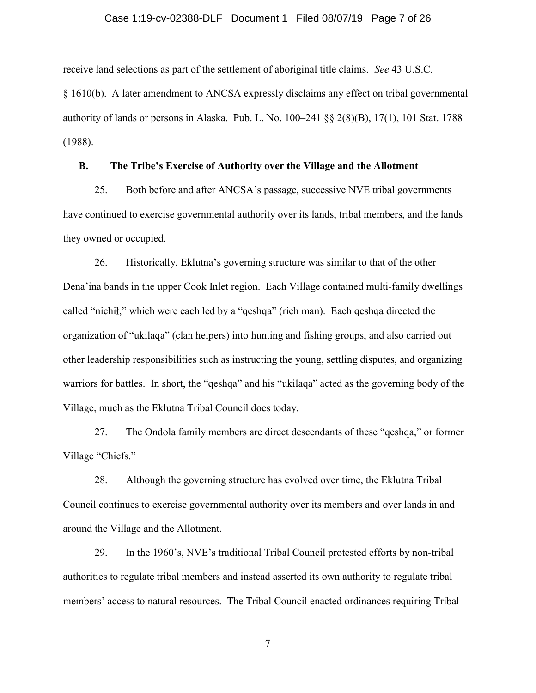### Case 1:19-cv-02388-DLF Document 1 Filed 08/07/19 Page 7 of 26

receive land selections as part of the settlement of aboriginal title claims. *See* 43 U.S.C.

§ 1610(b). A later amendment to ANCSA expressly disclaims any effect on tribal governmental authority of lands or persons in Alaska. Pub. L. No. 100–241 §§ 2(8)(B), 17(1), 101 Stat. 1788 (1988).

### **B. The Tribe's Exercise of Authority over the Village and the Allotment**

25. Both before and after ANCSA's passage, successive NVE tribal governments have continued to exercise governmental authority over its lands, tribal members, and the lands they owned or occupied.

26. Historically, Eklutna's governing structure was similar to that of the other Dena'ina bands in the upper Cook Inlet region. Each Village contained multi-family dwellings called "nichil," which were each led by a "qeshqa" (rich man). Each qeshqa directed the organization of "ukilaqa" (clan helpers) into hunting and fishing groups, and also carried out other leadership responsibilities such as instructing the young, settling disputes, and organizing warriors for battles. In short, the "qeshqa" and his "ukilaqa" acted as the governing body of the Village, much as the Eklutna Tribal Council does today.

27. The Ondola family members are direct descendants of these "qeshqa," or former Village "Chiefs."

28. Although the governing structure has evolved over time, the Eklutna Tribal Council continues to exercise governmental authority over its members and over lands in and around the Village and the Allotment.

29. In the 1960's, NVE's traditional Tribal Council protested efforts by non-tribal authorities to regulate tribal members and instead asserted its own authority to regulate tribal members' access to natural resources. The Tribal Council enacted ordinances requiring Tribal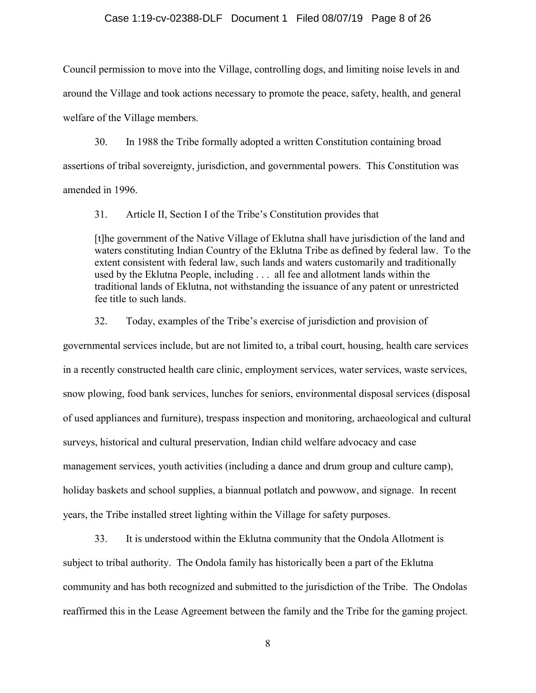#### Case 1:19-cv-02388-DLF Document 1 Filed 08/07/19 Page 8 of 26

Council permission to move into the Village, controlling dogs, and limiting noise levels in and around the Village and took actions necessary to promote the peace, safety, health, and general welfare of the Village members.

30. In 1988 the Tribe formally adopted a written Constitution containing broad assertions of tribal sovereignty, jurisdiction, and governmental powers. This Constitution was amended in 1996.

31. Article II, Section I of the Tribe's Constitution provides that

[t]he government of the Native Village of Eklutna shall have jurisdiction of the land and waters constituting Indian Country of the Eklutna Tribe as defined by federal law. To the extent consistent with federal law, such lands and waters customarily and traditionally used by the Eklutna People, including . . . all fee and allotment lands within the traditional lands of Eklutna, not withstanding the issuance of any patent or unrestricted fee title to such lands.

32. Today, examples of the Tribe's exercise of jurisdiction and provision of

governmental services include, but are not limited to, a tribal court, housing, health care services in a recently constructed health care clinic, employment services, water services, waste services, snow plowing, food bank services, lunches for seniors, environmental disposal services (disposal of used appliances and furniture), trespass inspection and monitoring, archaeological and cultural surveys, historical and cultural preservation, Indian child welfare advocacy and case management services, youth activities (including a dance and drum group and culture camp), holiday baskets and school supplies, a biannual potlatch and powwow, and signage. In recent years, the Tribe installed street lighting within the Village for safety purposes.

33. It is understood within the Eklutna community that the Ondola Allotment is subject to tribal authority. The Ondola family has historically been a part of the Eklutna community and has both recognized and submitted to the jurisdiction of the Tribe. The Ondolas reaffirmed this in the Lease Agreement between the family and the Tribe for the gaming project.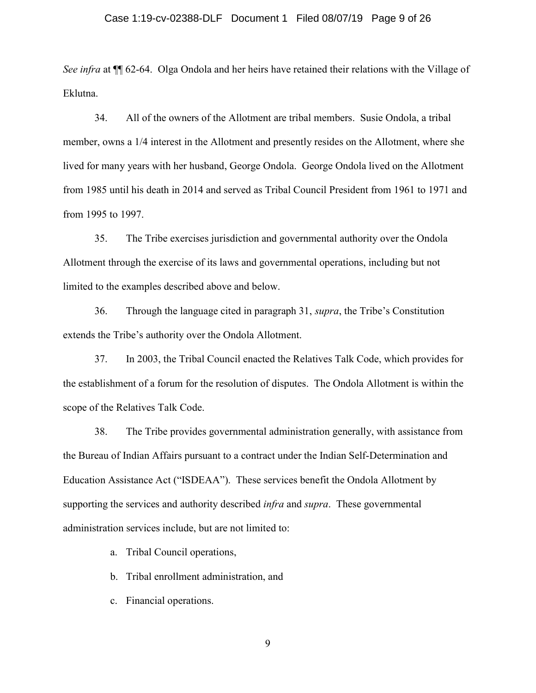### Case 1:19-cv-02388-DLF Document 1 Filed 08/07/19 Page 9 of 26

*See infra* at ¶¶ 62-64. Olga Ondola and her heirs have retained their relations with the Village of Eklutna.

34. All of the owners of the Allotment are tribal members. Susie Ondola, a tribal member, owns a 1/4 interest in the Allotment and presently resides on the Allotment, where she lived for many years with her husband, George Ondola. George Ondola lived on the Allotment from 1985 until his death in 2014 and served as Tribal Council President from 1961 to 1971 and from 1995 to 1997.

35. The Tribe exercises jurisdiction and governmental authority over the Ondola Allotment through the exercise of its laws and governmental operations, including but not limited to the examples described above and below.

36. Through the language cited in paragraph 31, *supra*, the Tribe's Constitution extends the Tribe's authority over the Ondola Allotment.

37. In 2003, the Tribal Council enacted the Relatives Talk Code, which provides for the establishment of a forum for the resolution of disputes. The Ondola Allotment is within the scope of the Relatives Talk Code.

38. The Tribe provides governmental administration generally, with assistance from the Bureau of Indian Affairs pursuant to a contract under the Indian Self-Determination and Education Assistance Act ("ISDEAA"). These services benefit the Ondola Allotment by supporting the services and authority described *infra* and *supra*. These governmental administration services include, but are not limited to:

a. Tribal Council operations,

b. Tribal enrollment administration, and

c. Financial operations.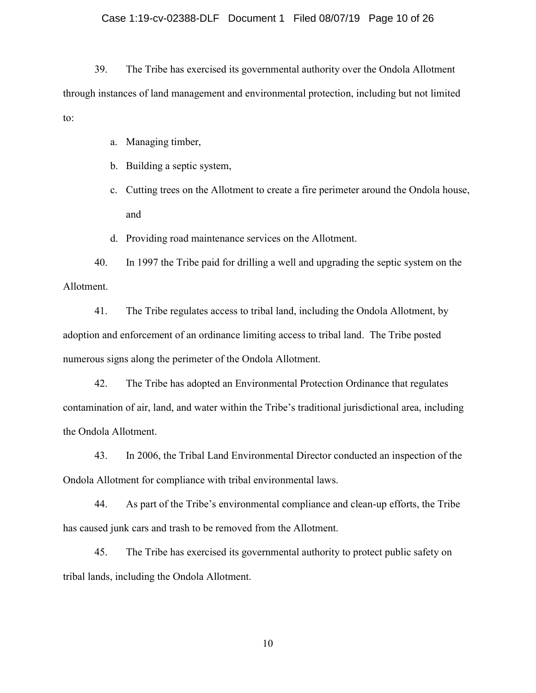### Case 1:19-cv-02388-DLF Document 1 Filed 08/07/19 Page 10 of 26

39. The Tribe has exercised its governmental authority over the Ondola Allotment through instances of land management and environmental protection, including but not limited to:

- a. Managing timber,
- b. Building a septic system,
- c. Cutting trees on the Allotment to create a fire perimeter around the Ondola house, and
- d. Providing road maintenance services on the Allotment.

40. In 1997 the Tribe paid for drilling a well and upgrading the septic system on the Allotment.

41. The Tribe regulates access to tribal land, including the Ondola Allotment, by adoption and enforcement of an ordinance limiting access to tribal land. The Tribe posted numerous signs along the perimeter of the Ondola Allotment.

42. The Tribe has adopted an Environmental Protection Ordinance that regulates contamination of air, land, and water within the Tribe's traditional jurisdictional area, including the Ondola Allotment.

43. In 2006, the Tribal Land Environmental Director conducted an inspection of the Ondola Allotment for compliance with tribal environmental laws.

44. As part of the Tribe's environmental compliance and clean-up efforts, the Tribe has caused junk cars and trash to be removed from the Allotment.

45. The Tribe has exercised its governmental authority to protect public safety on tribal lands, including the Ondola Allotment.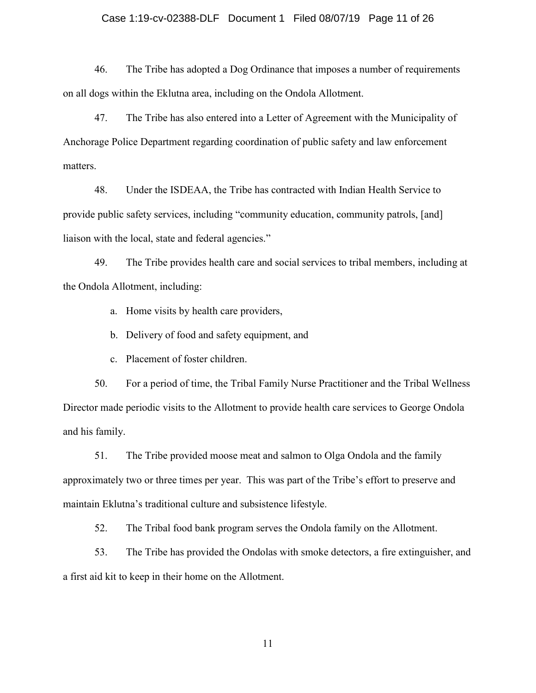### Case 1:19-cv-02388-DLF Document 1 Filed 08/07/19 Page 11 of 26

46. The Tribe has adopted a Dog Ordinance that imposes a number of requirements on all dogs within the Eklutna area, including on the Ondola Allotment.

47. The Tribe has also entered into a Letter of Agreement with the Municipality of Anchorage Police Department regarding coordination of public safety and law enforcement matters.

48. Under the ISDEAA, the Tribe has contracted with Indian Health Service to provide public safety services, including "community education, community patrols, [and] liaison with the local, state and federal agencies."

49. The Tribe provides health care and social services to tribal members, including at the Ondola Allotment, including:

a. Home visits by health care providers,

b. Delivery of food and safety equipment, and

c. Placement of foster children.

50. For a period of time, the Tribal Family Nurse Practitioner and the Tribal Wellness Director made periodic visits to the Allotment to provide health care services to George Ondola and his family.

51. The Tribe provided moose meat and salmon to Olga Ondola and the family approximately two or three times per year. This was part of the Tribe's effort to preserve and maintain Eklutna's traditional culture and subsistence lifestyle.

52. The Tribal food bank program serves the Ondola family on the Allotment.

53. The Tribe has provided the Ondolas with smoke detectors, a fire extinguisher, and a first aid kit to keep in their home on the Allotment.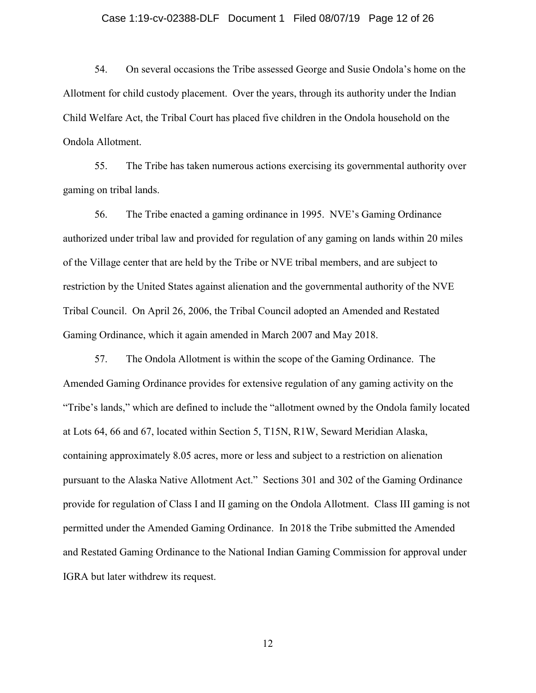### Case 1:19-cv-02388-DLF Document 1 Filed 08/07/19 Page 12 of 26

54. On several occasions the Tribe assessed George and Susie Ondola's home on the Allotment for child custody placement. Over the years, through its authority under the Indian Child Welfare Act, the Tribal Court has placed five children in the Ondola household on the Ondola Allotment.

55. The Tribe has taken numerous actions exercising its governmental authority over gaming on tribal lands.

56. The Tribe enacted a gaming ordinance in 1995. NVE's Gaming Ordinance authorized under tribal law and provided for regulation of any gaming on lands within 20 miles of the Village center that are held by the Tribe or NVE tribal members, and are subject to restriction by the United States against alienation and the governmental authority of the NVE Tribal Council. On April 26, 2006, the Tribal Council adopted an Amended and Restated Gaming Ordinance, which it again amended in March 2007 and May 2018.

57. The Ondola Allotment is within the scope of the Gaming Ordinance. The Amended Gaming Ordinance provides for extensive regulation of any gaming activity on the "Tribe's lands," which are defined to include the "allotment owned by the Ondola family located at Lots 64, 66 and 67, located within Section 5, T15N, R1W, Seward Meridian Alaska, containing approximately 8.05 acres, more or less and subject to a restriction on alienation pursuant to the Alaska Native Allotment Act." Sections 301 and 302 of the Gaming Ordinance provide for regulation of Class I and II gaming on the Ondola Allotment. Class III gaming is not permitted under the Amended Gaming Ordinance. In 2018 the Tribe submitted the Amended and Restated Gaming Ordinance to the National Indian Gaming Commission for approval under IGRA but later withdrew its request.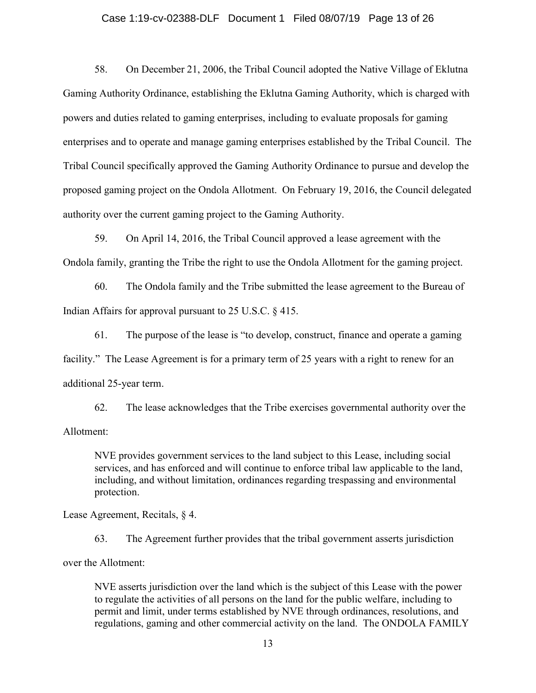### Case 1:19-cv-02388-DLF Document 1 Filed 08/07/19 Page 13 of 26

58. On December 21, 2006, the Tribal Council adopted the Native Village of Eklutna Gaming Authority Ordinance, establishing the Eklutna Gaming Authority, which is charged with powers and duties related to gaming enterprises, including to evaluate proposals for gaming enterprises and to operate and manage gaming enterprises established by the Tribal Council. The Tribal Council specifically approved the Gaming Authority Ordinance to pursue and develop the proposed gaming project on the Ondola Allotment. On February 19, 2016, the Council delegated authority over the current gaming project to the Gaming Authority.

59. On April 14, 2016, the Tribal Council approved a lease agreement with the Ondola family, granting the Tribe the right to use the Ondola Allotment for the gaming project.

60. The Ondola family and the Tribe submitted the lease agreement to the Bureau of Indian Affairs for approval pursuant to 25 U.S.C. § 415.

61. The purpose of the lease is "to develop, construct, finance and operate a gaming facility." The Lease Agreement is for a primary term of 25 years with a right to renew for an additional 25-year term.

62. The lease acknowledges that the Tribe exercises governmental authority over the Allotment:

NVE provides government services to the land subject to this Lease, including social services, and has enforced and will continue to enforce tribal law applicable to the land, including, and without limitation, ordinances regarding trespassing and environmental protection.

Lease Agreement, Recitals, § 4.

63. The Agreement further provides that the tribal government asserts jurisdiction over the Allotment:

NVE asserts jurisdiction over the land which is the subject of this Lease with the power to regulate the activities of all persons on the land for the public welfare, including to permit and limit, under terms established by NVE through ordinances, resolutions, and regulations, gaming and other commercial activity on the land. The ONDOLA FAMILY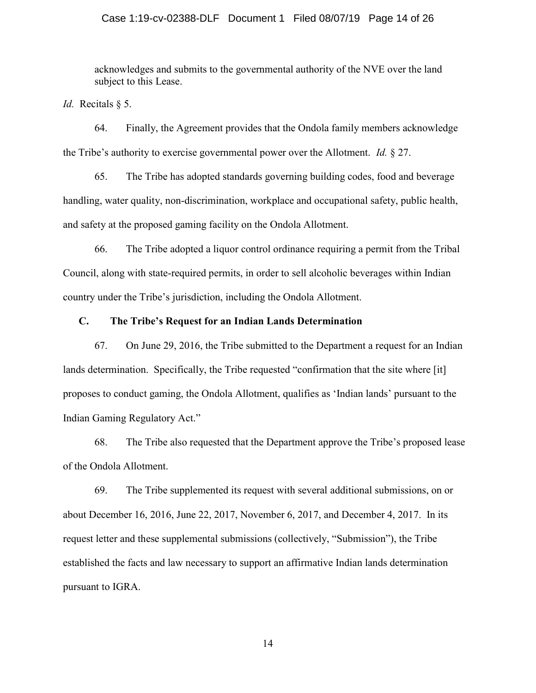### Case 1:19-cv-02388-DLF Document 1 Filed 08/07/19 Page 14 of 26

acknowledges and submits to the governmental authority of the NVE over the land subject to this Lease.

*Id.* Recitals § 5.

64. Finally, the Agreement provides that the Ondola family members acknowledge the Tribe's authority to exercise governmental power over the Allotment. *Id.* § 27.

65. The Tribe has adopted standards governing building codes, food and beverage handling, water quality, non-discrimination, workplace and occupational safety, public health, and safety at the proposed gaming facility on the Ondola Allotment.

66. The Tribe adopted a liquor control ordinance requiring a permit from the Tribal Council, along with state-required permits, in order to sell alcoholic beverages within Indian country under the Tribe's jurisdiction, including the Ondola Allotment.

### **C. The Tribe's Request for an Indian Lands Determination**

67. On June 29, 2016, the Tribe submitted to the Department a request for an Indian lands determination. Specifically, the Tribe requested "confirmation that the site where [it] proposes to conduct gaming, the Ondola Allotment, qualifies as 'Indian lands' pursuant to the Indian Gaming Regulatory Act."

68. The Tribe also requested that the Department approve the Tribe's proposed lease of the Ondola Allotment.

69. The Tribe supplemented its request with several additional submissions, on or about December 16, 2016, June 22, 2017, November 6, 2017, and December 4, 2017. In its request letter and these supplemental submissions (collectively, "Submission"), the Tribe established the facts and law necessary to support an affirmative Indian lands determination pursuant to IGRA.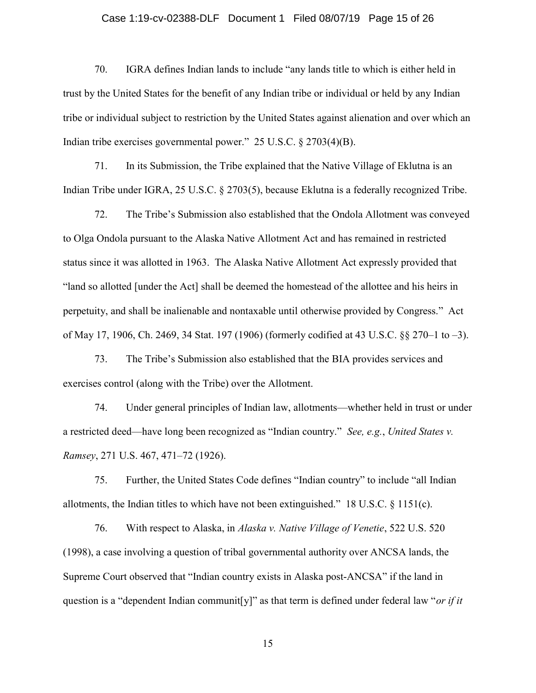# Case 1:19-cv-02388-DLF Document 1 Filed 08/07/19 Page 15 of 26

70. IGRA defines Indian lands to include "any lands title to which is either held in trust by the United States for the benefit of any Indian tribe or individual or held by any Indian tribe or individual subject to restriction by the United States against alienation and over which an Indian tribe exercises governmental power." 25 U.S.C. § 2703(4)(B).

71. In its Submission, the Tribe explained that the Native Village of Eklutna is an Indian Tribe under IGRA, 25 U.S.C. § 2703(5), because Eklutna is a federally recognized Tribe.

72. The Tribe's Submission also established that the Ondola Allotment was conveyed to Olga Ondola pursuant to the Alaska Native Allotment Act and has remained in restricted status since it was allotted in 1963. The Alaska Native Allotment Act expressly provided that "land so allotted [under the Act] shall be deemed the homestead of the allottee and his heirs in perpetuity, and shall be inalienable and nontaxable until otherwise provided by Congress." Act of May 17, 1906, Ch. 2469, 34 Stat. 197 (1906) (formerly codified at 43 U.S.C. §§ 270–1 to –3).

73. The Tribe's Submission also established that the BIA provides services and exercises control (along with the Tribe) over the Allotment.

74. Under general principles of Indian law, allotments—whether held in trust or under a restricted deed—have long been recognized as "Indian country." *See, e.g.*, *United States v. Ramsey*, 271 U.S. 467, 471–72 (1926).

75. Further, the United States Code defines "Indian country" to include "all Indian allotments, the Indian titles to which have not been extinguished." 18 U.S.C. § 1151(c).

76. With respect to Alaska, in *Alaska v. Native Village of Venetie*, 522 U.S. 520 (1998), a case involving a question of tribal governmental authority over ANCSA lands, the Supreme Court observed that "Indian country exists in Alaska post-ANCSA" if the land in question is a "dependent Indian communit[y]" as that term is defined under federal law "*or if it*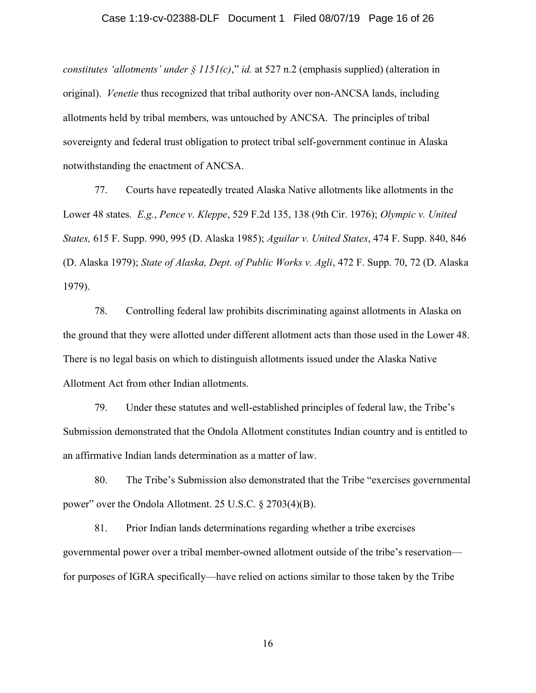### Case 1:19-cv-02388-DLF Document 1 Filed 08/07/19 Page 16 of 26

*constitutes 'allotments' under § 1151(c)*," *id.* at 527 n.2 (emphasis supplied) (alteration in original). *Venetie* thus recognized that tribal authority over non-ANCSA lands, including allotments held by tribal members, was untouched by ANCSA. The principles of tribal sovereignty and federal trust obligation to protect tribal self-government continue in Alaska notwithstanding the enactment of ANCSA.

77. Courts have repeatedly treated Alaska Native allotments like allotments in the Lower 48 states. *E.g.*, *Pence v. Kleppe*, 529 F.2d 135, 138 (9th Cir. 1976); *Olympic v. United States,* 615 F. Supp. 990, 995 (D. Alaska 1985); *Aguilar v. United States*, 474 F. Supp. 840, 846 (D. Alaska 1979); *State of Alaska, Dept. of Public Works v. Agli*, 472 F. Supp. 70, 72 (D. Alaska 1979).

78. Controlling federal law prohibits discriminating against allotments in Alaska on the ground that they were allotted under different allotment acts than those used in the Lower 48. There is no legal basis on which to distinguish allotments issued under the Alaska Native Allotment Act from other Indian allotments.

79. Under these statutes and well-established principles of federal law, the Tribe's Submission demonstrated that the Ondola Allotment constitutes Indian country and is entitled to an affirmative Indian lands determination as a matter of law.

80. The Tribe's Submission also demonstrated that the Tribe "exercises governmental power" over the Ondola Allotment. 25 U.S.C. § 2703(4)(B).

81. Prior Indian lands determinations regarding whether a tribe exercises governmental power over a tribal member-owned allotment outside of the tribe's reservation for purposes of IGRA specifically—have relied on actions similar to those taken by the Tribe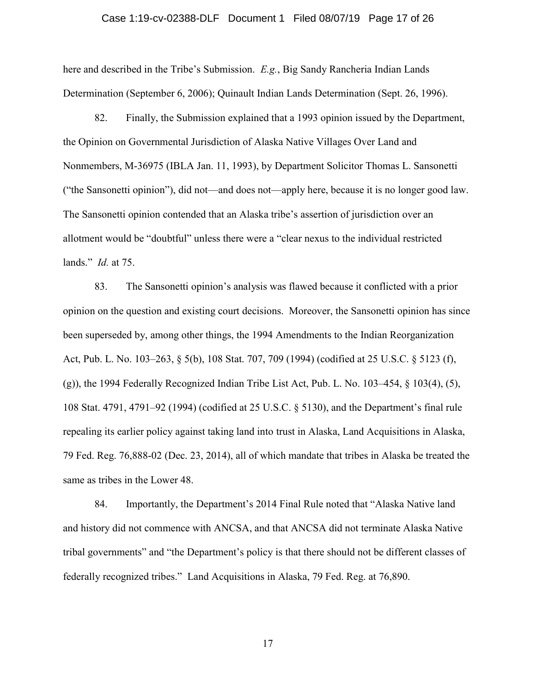### Case 1:19-cv-02388-DLF Document 1 Filed 08/07/19 Page 17 of 26

here and described in the Tribe's Submission. *E.g.*, Big Sandy Rancheria Indian Lands Determination (September 6, 2006); Quinault Indian Lands Determination (Sept. 26, 1996).

82. Finally, the Submission explained that a 1993 opinion issued by the Department, the Opinion on Governmental Jurisdiction of Alaska Native Villages Over Land and Nonmembers, M-36975 (IBLA Jan. 11, 1993), by Department Solicitor Thomas L. Sansonetti ("the Sansonetti opinion"), did not—and does not—apply here, because it is no longer good law. The Sansonetti opinion contended that an Alaska tribe's assertion of jurisdiction over an allotment would be "doubtful" unless there were a "clear nexus to the individual restricted lands." *Id.* at 75.

83. The Sansonetti opinion's analysis was flawed because it conflicted with a prior opinion on the question and existing court decisions. Moreover, the Sansonetti opinion has since been superseded by, among other things, the 1994 Amendments to the Indian Reorganization Act, Pub. L. No. 103–263, § 5(b), 108 Stat. 707, 709 (1994) (codified at 25 U.S.C. § 5123 (f),  $(g)$ ), the 1994 Federally Recognized Indian Tribe List Act, Pub. L. No. 103–454, § 103(4), (5), 108 Stat. 4791, 4791–92 (1994) (codified at 25 U.S.C. § 5130), and the Department's final rule repealing its earlier policy against taking land into trust in Alaska, Land Acquisitions in Alaska, 79 Fed. Reg. 76,888-02 (Dec. 23, 2014), all of which mandate that tribes in Alaska be treated the same as tribes in the Lower 48.

84. Importantly, the Department's 2014 Final Rule noted that "Alaska Native land and history did not commence with ANCSA, and that ANCSA did not terminate Alaska Native tribal governments" and "the Department's policy is that there should not be different classes of federally recognized tribes." Land Acquisitions in Alaska, 79 Fed. Reg. at 76,890.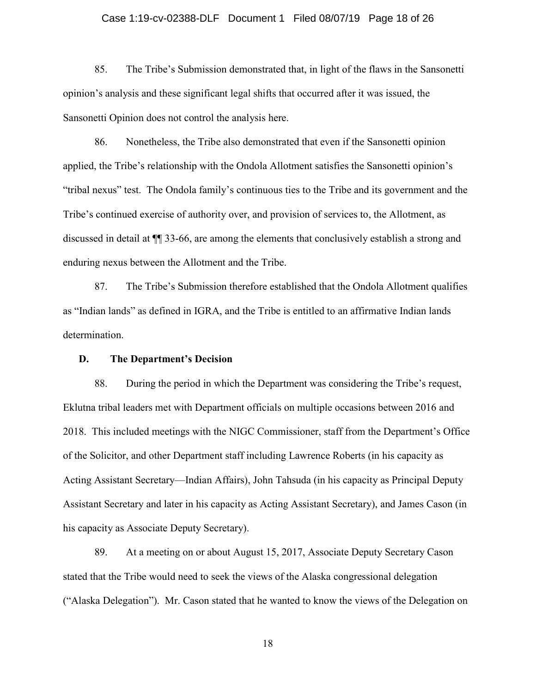### Case 1:19-cv-02388-DLF Document 1 Filed 08/07/19 Page 18 of 26

85. The Tribe's Submission demonstrated that, in light of the flaws in the Sansonetti opinion's analysis and these significant legal shifts that occurred after it was issued, the Sansonetti Opinion does not control the analysis here.

86. Nonetheless, the Tribe also demonstrated that even if the Sansonetti opinion applied, the Tribe's relationship with the Ondola Allotment satisfies the Sansonetti opinion's "tribal nexus" test. The Ondola family's continuous ties to the Tribe and its government and the Tribe's continued exercise of authority over, and provision of services to, the Allotment, as discussed in detail at ¶¶ 33-66, are among the elements that conclusively establish a strong and enduring nexus between the Allotment and the Tribe.

87. The Tribe's Submission therefore established that the Ondola Allotment qualifies as "Indian lands" as defined in IGRA, and the Tribe is entitled to an affirmative Indian lands determination.

### **D. The Department's Decision**

88. During the period in which the Department was considering the Tribe's request, Eklutna tribal leaders met with Department officials on multiple occasions between 2016 and 2018. This included meetings with the NIGC Commissioner, staff from the Department's Office of the Solicitor, and other Department staff including Lawrence Roberts (in his capacity as Acting Assistant Secretary—Indian Affairs), John Tahsuda (in his capacity as Principal Deputy Assistant Secretary and later in his capacity as Acting Assistant Secretary), and James Cason (in his capacity as Associate Deputy Secretary).

89. At a meeting on or about August 15, 2017, Associate Deputy Secretary Cason stated that the Tribe would need to seek the views of the Alaska congressional delegation ("Alaska Delegation"). Mr. Cason stated that he wanted to know the views of the Delegation on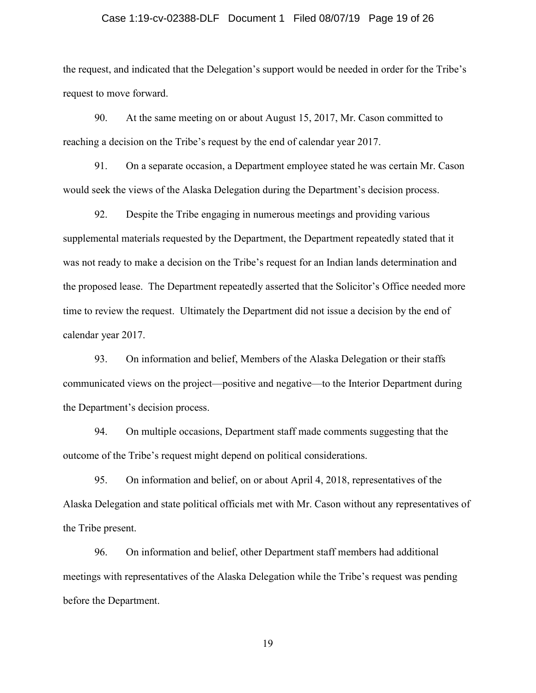### Case 1:19-cv-02388-DLF Document 1 Filed 08/07/19 Page 19 of 26

the request, and indicated that the Delegation's support would be needed in order for the Tribe's request to move forward.

90. At the same meeting on or about August 15, 2017, Mr. Cason committed to reaching a decision on the Tribe's request by the end of calendar year 2017.

91. On a separate occasion, a Department employee stated he was certain Mr. Cason would seek the views of the Alaska Delegation during the Department's decision process.

92. Despite the Tribe engaging in numerous meetings and providing various supplemental materials requested by the Department, the Department repeatedly stated that it was not ready to make a decision on the Tribe's request for an Indian lands determination and the proposed lease. The Department repeatedly asserted that the Solicitor's Office needed more time to review the request. Ultimately the Department did not issue a decision by the end of calendar year 2017.

93. On information and belief, Members of the Alaska Delegation or their staffs communicated views on the project—positive and negative—to the Interior Department during the Department's decision process.

94. On multiple occasions, Department staff made comments suggesting that the outcome of the Tribe's request might depend on political considerations.

95. On information and belief, on or about April 4, 2018, representatives of the Alaska Delegation and state political officials met with Mr. Cason without any representatives of the Tribe present.

96. On information and belief, other Department staff members had additional meetings with representatives of the Alaska Delegation while the Tribe's request was pending before the Department.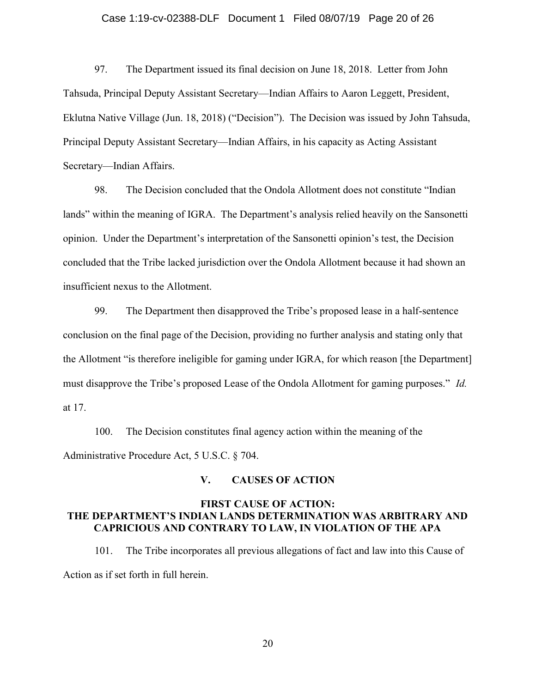### Case 1:19-cv-02388-DLF Document 1 Filed 08/07/19 Page 20 of 26

97. The Department issued its final decision on June 18, 2018. Letter from John Tahsuda, Principal Deputy Assistant Secretary—Indian Affairs to Aaron Leggett, President, Eklutna Native Village (Jun. 18, 2018) ("Decision"). The Decision was issued by John Tahsuda, Principal Deputy Assistant Secretary—Indian Affairs, in his capacity as Acting Assistant Secretary—Indian Affairs.

98. The Decision concluded that the Ondola Allotment does not constitute "Indian lands" within the meaning of IGRA. The Department's analysis relied heavily on the Sansonetti opinion. Under the Department's interpretation of the Sansonetti opinion's test, the Decision concluded that the Tribe lacked jurisdiction over the Ondola Allotment because it had shown an insufficient nexus to the Allotment.

99. The Department then disapproved the Tribe's proposed lease in a half-sentence conclusion on the final page of the Decision, providing no further analysis and stating only that the Allotment "is therefore ineligible for gaming under IGRA, for which reason [the Department] must disapprove the Tribe's proposed Lease of the Ondola Allotment for gaming purposes." *Id.* at 17.

100. The Decision constitutes final agency action within the meaning of the Administrative Procedure Act, 5 U.S.C. § 704.

### **V. CAUSES OF ACTION**

## **FIRST CAUSE OF ACTION: THE DEPARTMENT'S INDIAN LANDS DETERMINATION WAS ARBITRARY AND CAPRICIOUS AND CONTRARY TO LAW, IN VIOLATION OF THE APA**

101. The Tribe incorporates all previous allegations of fact and law into this Cause of Action as if set forth in full herein.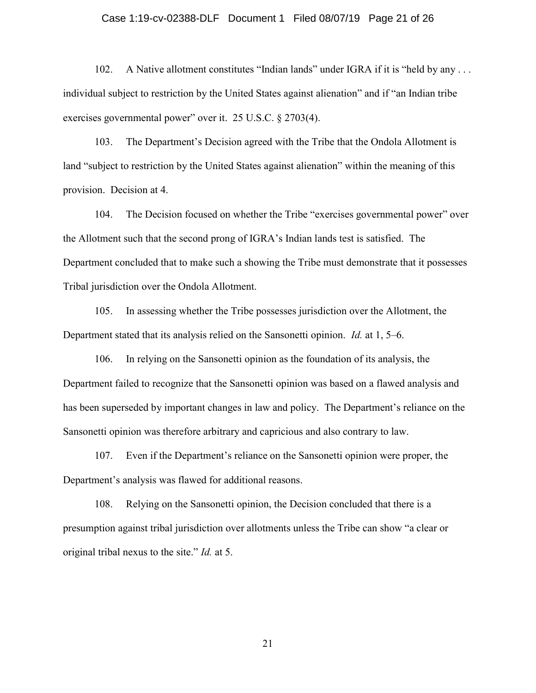### Case 1:19-cv-02388-DLF Document 1 Filed 08/07/19 Page 21 of 26

102. A Native allotment constitutes "Indian lands" under IGRA if it is "held by any ... individual subject to restriction by the United States against alienation" and if "an Indian tribe exercises governmental power" over it. 25 U.S.C. § 2703(4).

103. The Department's Decision agreed with the Tribe that the Ondola Allotment is land "subject to restriction by the United States against alienation" within the meaning of this provision. Decision at 4.

104. The Decision focused on whether the Tribe "exercises governmental power" over the Allotment such that the second prong of IGRA's Indian lands test is satisfied. The Department concluded that to make such a showing the Tribe must demonstrate that it possesses Tribal jurisdiction over the Ondola Allotment.

105. In assessing whether the Tribe possesses jurisdiction over the Allotment, the Department stated that its analysis relied on the Sansonetti opinion. *Id.* at 1, 5–6.

106. In relying on the Sansonetti opinion as the foundation of its analysis, the Department failed to recognize that the Sansonetti opinion was based on a flawed analysis and has been superseded by important changes in law and policy. The Department's reliance on the Sansonetti opinion was therefore arbitrary and capricious and also contrary to law.

107. Even if the Department's reliance on the Sansonetti opinion were proper, the Department's analysis was flawed for additional reasons.

108. Relying on the Sansonetti opinion, the Decision concluded that there is a presumption against tribal jurisdiction over allotments unless the Tribe can show "a clear or original tribal nexus to the site." *Id.* at 5.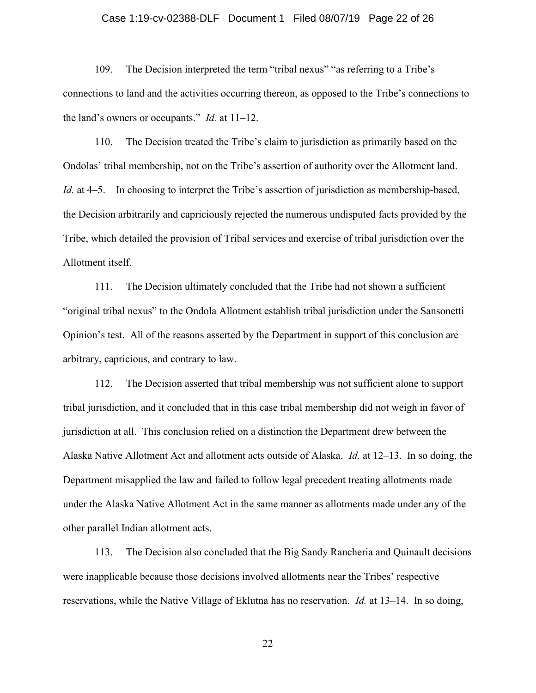### Case 1:19-cv-02388-DLF Document 1 Filed 08/07/19 Page 22 of 26

109. The Decision interpreted the term "tribal nexus" "as referring to a Tribe's connections to land and the activities occurring thereon, as opposed to the Tribe's connections to the land's owners or occupants." *Id.* at 11–12.

110. The Decision treated the Tribe's claim to jurisdiction as primarily based on the Ondolas' tribal membership, not on the Tribe's assertion of authority over the Allotment land. *Id.* at 4–5. In choosing to interpret the Tribe's assertion of jurisdiction as membership-based, the Decision arbitrarily and capriciously rejected the numerous undisputed facts provided by the Tribe, which detailed the provision of Tribal services and exercise of tribal jurisdiction over the Allotment itself.

111. The Decision ultimately concluded that the Tribe had not shown a sufficient "original tribal nexus" to the Ondola Allotment establish tribal jurisdiction under the Sansonetti Opinion's test. All of the reasons asserted by the Department in support of this conclusion are arbitrary, capricious, and contrary to law.

112. The Decision asserted that tribal membership was not sufficient alone to support tribal jurisdiction, and it concluded that in this case tribal membership did not weigh in favor of jurisdiction at all. This conclusion relied on a distinction the Department drew between the Alaska Native Allotment Act and allotment acts outside of Alaska. *Id.* at 12–13. In so doing, the Department misapplied the law and failed to follow legal precedent treating allotments made under the Alaska Native Allotment Act in the same manner as allotments made under any of the other parallel Indian allotment acts.

113. The Decision also concluded that the Big Sandy Rancheria and Quinault decisions were inapplicable because those decisions involved allotments near the Tribes' respective reservations, while the Native Village of Eklutna has no reservation. *Id.* at 13–14. In so doing,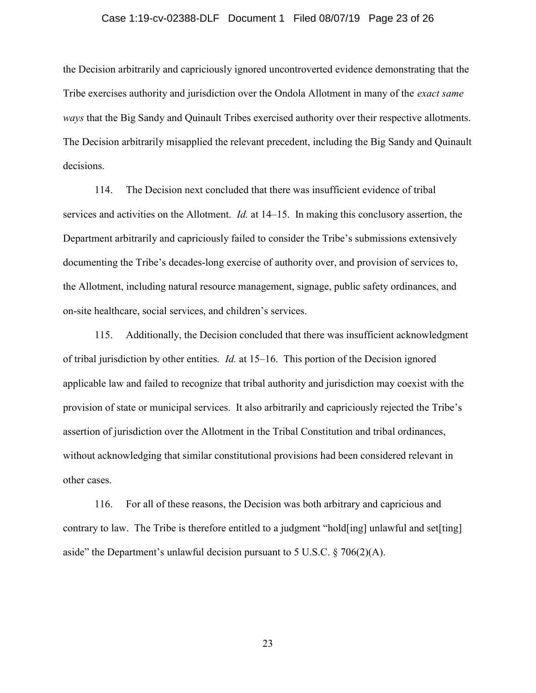### Case 1:19-cv-02388-DLF Document 1 Filed 08/07/19 Page 23 of 26

the Decision arbitrarily and capriciously ignored uncontroverted evidence demonstrating that the Tribe exercises authority and jurisdiction over the Ondola Allotment in many of the *exact same ways* that the Big Sandy and Quinault Tribes exercised authority over their respective allotments. The Decision arbitrarily misapplied the relevant precedent, including the Big Sandy and Quinault decisions.

114. The Decision next concluded that there was insufficient evidence of tribal services and activities on the Allotment. *Id.* at 14–15. In making this conclusory assertion, the Department arbitrarily and capriciously failed to consider the Tribe's submissions extensively documenting the Tribe's decades-long exercise of authority over, and provision of services to, the Allotment, including natural resource management, signage, public safety ordinances, and on-site healthcare, social services, and children's services.

115. Additionally, the Decision concluded that there was insufficient acknowledgment of tribal jurisdiction by other entities. *Id.* at 15–16. This portion of the Decision ignored applicable law and failed to recognize that tribal authority and jurisdiction may coexist with the provision of state or municipal services. It also arbitrarily and capriciously rejected the Tribe's assertion of jurisdiction over the Allotment in the Tribal Constitution and tribal ordinances, without acknowledging that similar constitutional provisions had been considered relevant in other cases.

116. For all of these reasons, the Decision was both arbitrary and capricious and contrary to law. The Tribe is therefore entitled to a judgment "hold[ing] unlawful and set[ting] aside" the Department's unlawful decision pursuant to 5 U.S.C.  $\S$  706(2)(A).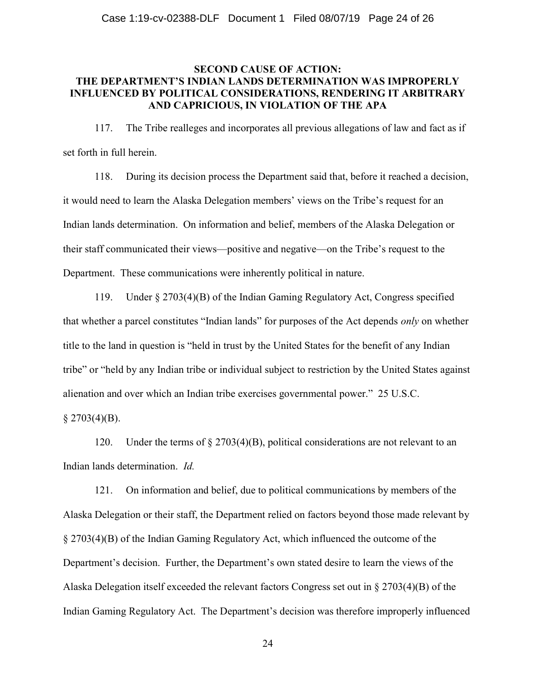## **SECOND CAUSE OF ACTION: THE DEPARTMENT'S INDIAN LANDS DETERMINATION WAS IMPROPERLY INFLUENCED BY POLITICAL CONSIDERATIONS, RENDERING IT ARBITRARY AND CAPRICIOUS, IN VIOLATION OF THE APA**

117. The Tribe realleges and incorporates all previous allegations of law and fact as if set forth in full herein.

118. During its decision process the Department said that, before it reached a decision, it would need to learn the Alaska Delegation members' views on the Tribe's request for an Indian lands determination. On information and belief, members of the Alaska Delegation or their staff communicated their views—positive and negative—on the Tribe's request to the Department. These communications were inherently political in nature.

119. Under § 2703(4)(B) of the Indian Gaming Regulatory Act, Congress specified that whether a parcel constitutes "Indian lands" for purposes of the Act depends *only* on whether title to the land in question is "held in trust by the United States for the benefit of any Indian tribe" or "held by any Indian tribe or individual subject to restriction by the United States against alienation and over which an Indian tribe exercises governmental power." 25 U.S.C.

 $§$  2703(4)(B).

120. Under the terms of § 2703(4)(B), political considerations are not relevant to an Indian lands determination. *Id.*

121. On information and belief, due to political communications by members of the Alaska Delegation or their staff, the Department relied on factors beyond those made relevant by § 2703(4)(B) of the Indian Gaming Regulatory Act, which influenced the outcome of the Department's decision. Further, the Department's own stated desire to learn the views of the Alaska Delegation itself exceeded the relevant factors Congress set out in § 2703(4)(B) of the Indian Gaming Regulatory Act. The Department's decision was therefore improperly influenced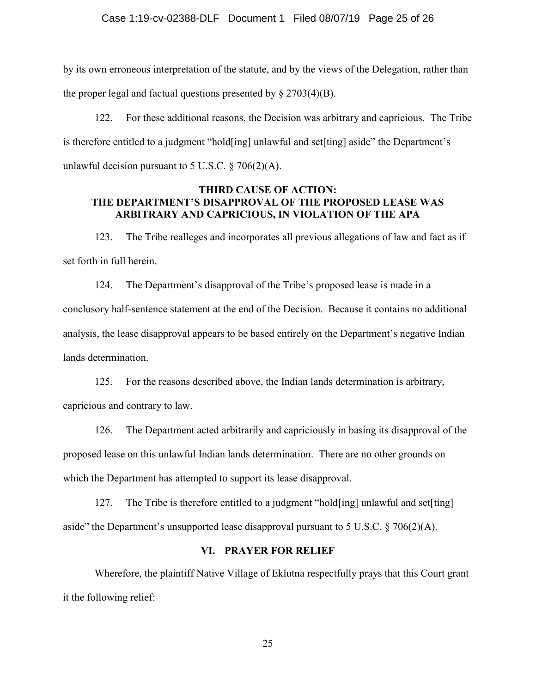### Case 1:19-cv-02388-DLF Document 1 Filed 08/07/19 Page 25 of 26

by its own erroneous interpretation of the statute, and by the views of the Delegation, rather than the proper legal and factual questions presented by  $\S 2703(4)(B)$ .

122. For these additional reasons, the Decision was arbitrary and capricious. The Tribe is therefore entitled to a judgment "hold[ing] unlawful and set[ting] aside" the Department's unlawful decision pursuant to 5 U.S.C.  $\S$  706(2)(A).

### **THIRD CAUSE OF ACTION: THE DEPARTMENT'S DISAPPROVAL OF THE PROPOSED LEASE WAS ARBITRARY AND CAPRICIOUS, IN VIOLATION OF THE APA**

123. The Tribe realleges and incorporates all previous allegations of law and fact as if set forth in full herein.

124. The Department's disapproval of the Tribe's proposed lease is made in a conclusory half-sentence statement at the end of the Decision. Because it contains no additional analysis, the lease disapproval appears to be based entirely on the Department's negative Indian lands determination.

125. For the reasons described above, the Indian lands determination is arbitrary, capricious and contrary to law.

126. The Department acted arbitrarily and capriciously in basing its disapproval of the proposed lease on this unlawful Indian lands determination. There are no other grounds on which the Department has attempted to support its lease disapproval.

127. The Tribe is therefore entitled to a judgment "hold[ing] unlawful and set[ting] aside" the Department's unsupported lease disapproval pursuant to 5 U.S.C.  $\S$  706(2)(A).

### **VI. PRAYER FOR RELIEF**

Wherefore, the plaintiff Native Village of Eklutna respectfully prays that this Court grant it the following relief: